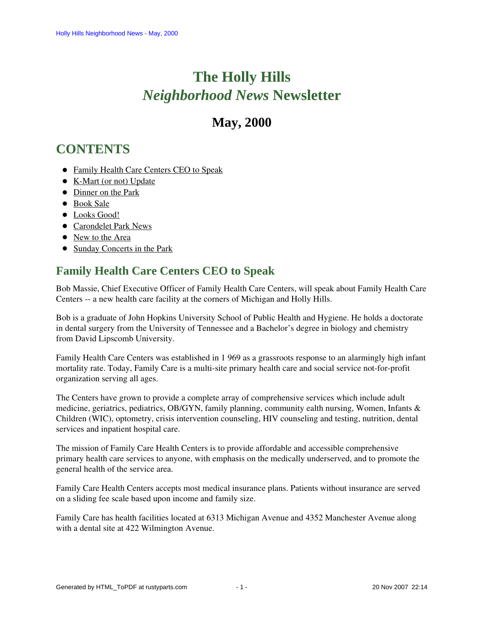# **The Holly Hills**  *Neighborhood News* **Newsletter**

## **May, 2000**

# <span id="page-0-1"></span>**CONTENTS**

- [Family Health Care Centers CEO to Speak](#page-0-0)
- [K-Mart \(or not\) Update](#page-1-0)
- [Dinner on the Park](#page-1-1)
- [Book Sale](#page-1-2)
- $\bullet$  [Looks Good!](#page-2-0)
- [Carondelet Park News](#page-2-1)
- [New to the Area](#page-2-2)
- [Sunday Concerts in the Park](#page-2-3)

## <span id="page-0-0"></span>**Family Health Care Centers CEO to Speak**

Bob Massie, Chief Executive Officer of Family Health Care Centers, will speak about Family Health Care Centers -- a new health care facility at the corners of Michigan and Holly Hills.

Bob is a graduate of John Hopkins University School of Public Health and Hygiene. He holds a doctorate in dental surgery from the University of Tennessee and a Bachelor's degree in biology and chemistry from David Lipscomb University.

Family Health Care Centers was established in 1 969 as a grassroots response to an alarmingly high infant mortality rate. Today, Family Care is a multi-site primary health care and social service not-for-profit organization serving all ages.

The Centers have grown to provide a complete array of comprehensive services which include adult medicine, geriatrics, pediatrics, OB/GYN, family planning, community ealth nursing, Women, Infants & Children (WIC), optometry, crisis intervention counseling, HIV counseling and testing, nutrition, dental services and inpatient hospital care.

The mission of Family Care Health Centers is to provide affordable and accessible comprehensive primary health care services to anyone, with emphasis on the medically underserved, and to promote the general health of the service area.

Family Care Health Centers accepts most medical insurance plans. Patients without insurance are served on a sliding fee scale based upon income and family size.

Family Care has health facilities located at 6313 Michigan Avenue and 4352 Manchester Avenue along with a dental site at 422 Wilmington Avenue.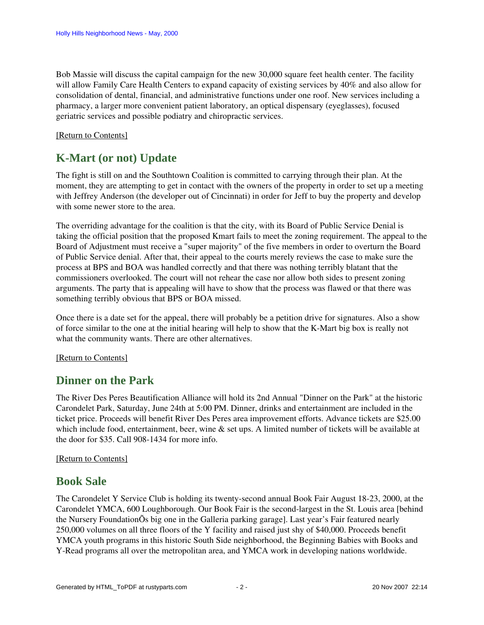Bob Massie will discuss the capital campaign for the new 30,000 square feet health center. The facility will allow Family Care Health Centers to expand capacity of existing services by 40% and also allow for consolidation of dental, financial, and administrative functions under one roof. New services including a pharmacy, a larger more convenient patient laboratory, an optical dispensary (eyeglasses), focused geriatric services and possible podiatry and chiropractic services.

#### <span id="page-1-0"></span>[\[Return to Contents\]](#page-0-1)

## **K-Mart (or not) Update**

The fight is still on and the Southtown Coalition is committed to carrying through their plan. At the moment, they are attempting to get in contact with the owners of the property in order to set up a meeting with Jeffrey Anderson (the developer out of Cincinnati) in order for Jeff to buy the property and develop with some newer store to the area.

The overriding advantage for the coalition is that the city, with its Board of Public Service Denial is taking the official position that the proposed Kmart fails to meet the zoning requirement. The appeal to the Board of Adjustment must receive a "super majority" of the five members in order to overturn the Board of Public Service denial. After that, their appeal to the courts merely reviews the case to make sure the process at BPS and BOA was handled correctly and that there was nothing terribly blatant that the commissioners overlooked. The court will not rehear the case nor allow both sides to present zoning arguments. The party that is appealing will have to show that the process was flawed or that there was something terribly obvious that BPS or BOA missed.

Once there is a date set for the appeal, there will probably be a petition drive for signatures. Also a show of force similar to the one at the initial hearing will help to show that the K-Mart big box is really not what the community wants. There are other alternatives.

#### [\[Return to Contents\]](#page-0-1)

### <span id="page-1-1"></span>**Dinner on the Park**

The River Des Peres Beautification Alliance will hold its 2nd Annual "Dinner on the Park" at the historic Carondelet Park, Saturday, June 24th at 5:00 PM. Dinner, drinks and entertainment are included in the ticket price. Proceeds will benefit River Des Peres area improvement efforts. Advance tickets are \$25.00 which include food, entertainment, beer, wine  $\&$  set ups. A limited number of tickets will be available at the door for \$35. Call 908-1434 for more info.

#### <span id="page-1-2"></span>[\[Return to Contents\]](#page-0-1)

#### **Book Sale**

The Carondelet Y Service Club is holding its twenty-second annual Book Fair August 18-23, 2000, at the Carondelet YMCA, 600 Loughborough. Our Book Fair is the second-largest in the St. Louis area [behind the Nursery FoundationÕs big one in the Galleria parking garage]. Last year's Fair featured nearly 250,000 volumes on all three floors of the Y facility and raised just shy of \$40,000. Proceeds benefit YMCA youth programs in this historic South Side neighborhood, the Beginning Babies with Books and Y-Read programs all over the metropolitan area, and YMCA work in developing nations worldwide.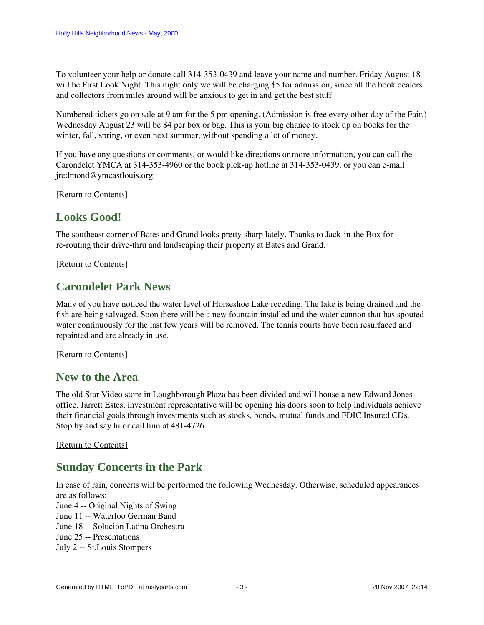To volunteer your help or donate call 314-353-0439 and leave your name and number. Friday August 18 will be First Look Night. This night only we will be charging \$5 for admission, since all the book dealers and collectors from miles around will be anxious to get in and get the best stuff.

Numbered tickets go on sale at 9 am for the 5 pm opening. (Admission is free every other day of the Fair.) Wednesday August 23 will be \$4 per box or bag. This is your big chance to stock up on books for the winter, fall, spring, or even next summer, without spending a lot of money.

If you have any questions or comments, or would like directions or more information, you can call the Carondelet YMCA at 314-353-4960 or the book pick-up hotline at 314-353-0439, or you can e-mail jredmond@ymcastlouis.org.

<span id="page-2-0"></span>[\[Return to Contents\]](#page-0-1)

### **Looks Good!**

The southeast corner of Bates and Grand looks pretty sharp lately. Thanks to Jack-in-the Box for re-routing their drive-thru and landscaping their property at Bates and Grand.

<span id="page-2-1"></span>[\[Return to Contents\]](#page-0-1)

### **Carondelet Park News**

Many of you have noticed the water level of Horseshoe Lake receding. The lake is being drained and the fish are being salvaged. Soon there will be a new fountain installed and the water cannon that has spouted water continuously for the last few years will be removed. The tennis courts have been resurfaced and repainted and are already in use.

<span id="page-2-2"></span>[\[Return to Contents\]](#page-0-1)

#### **New to the Area**

The old Star Video store in Loughborough Plaza has been divided and will house a new Edward Jones office. Jarrett Estes, investment representative will be opening his doors soon to help individuals achieve their financial goals through investments such as stocks, bonds, mutual funds and FDIC Insured CDs. Stop by and say hi or call him at 481-4726.

<span id="page-2-3"></span>[\[Return to Contents\]](#page-0-1)

### **Sunday Concerts in the Park**

In case of rain, concerts will be performed the following Wednesday. Otherwise, scheduled appearances are as follows:

June 4 -- Original Nights of Swing June 11 -- Waterloo German Band June 18 -- Solucion Latina Orchestra June 25 -- Presentations July 2 -- St.Louis Stompers